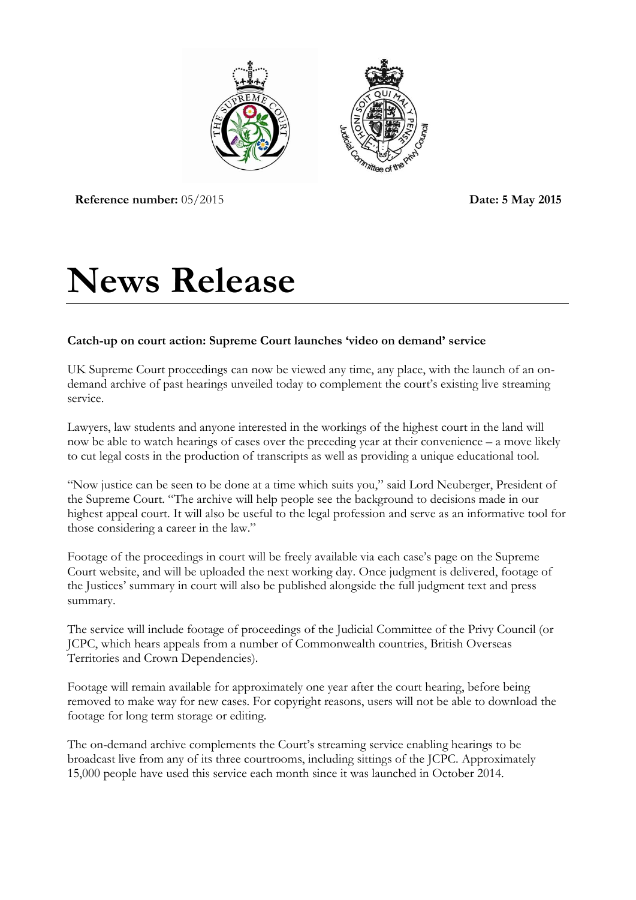

**Reference number:** 05/2015 **Date: 5 May 2015**

## **News Release**

## **Catch-up on court action: Supreme Court launches 'video on demand' service**

UK Supreme Court proceedings can now be viewed any time, any place, with the launch of an ondemand archive of past hearings unveiled today to complement the court's existing live streaming service.

Lawyers, law students and anyone interested in the workings of the highest court in the land will now be able to watch hearings of cases over the preceding year at their convenience – a move likely to cut legal costs in the production of transcripts as well as providing a unique educational tool.

"Now justice can be seen to be done at a time which suits you," said Lord Neuberger, President of the Supreme Court. "The archive will help people see the background to decisions made in our highest appeal court. It will also be useful to the legal profession and serve as an informative tool for those considering a career in the law."

Footage of the proceedings in court will be freely available via each case's page on the Supreme Court website, and will be uploaded the next working day. Once judgment is delivered, footage of the Justices' summary in court will also be published alongside the full judgment text and press summary.

The service will include footage of proceedings of the Judicial Committee of the Privy Council (or JCPC, which hears appeals from a number of Commonwealth countries, British Overseas Territories and Crown Dependencies).

Footage will remain available for approximately one year after the court hearing, before being removed to make way for new cases. For copyright reasons, users will not be able to download the footage for long term storage or editing.

The on-demand archive complements the Court's streaming service enabling hearings to be broadcast live from any of its three courtrooms, including sittings of the JCPC. Approximately 15,000 people have used this service each month since it was launched in October 2014.